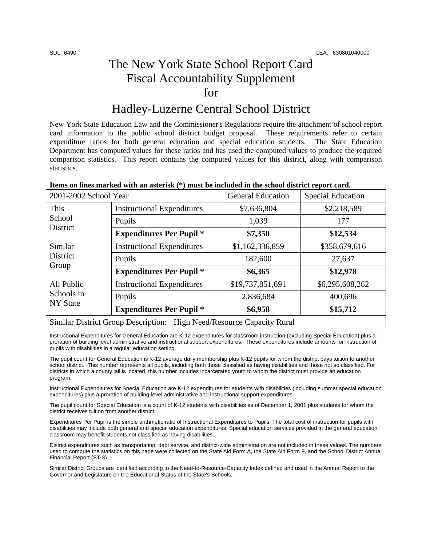## The New York State School Report Card Fiscal Accountability Supplement for

## Hadley-Luzerne Central School District

New York State Education Law and the Commissioner's Regulations require the attachment of school report card information to the public school district budget proposal. These requirements refer to certain expenditure ratios for both general education and special education students. The State Education Department has computed values for these ratios and has used the computed values to produce the required comparison statistics. This report contains the computed values for this district, along with comparison statistics.

| 2001-2002 School Year                                                 |                                   | <b>General Education</b> | <b>Special Education</b> |  |
|-----------------------------------------------------------------------|-----------------------------------|--------------------------|--------------------------|--|
| This<br>School<br>District                                            | <b>Instructional Expenditures</b> | \$7,636,804              | \$2,218,589              |  |
|                                                                       | Pupils                            | 1,039                    | 177                      |  |
|                                                                       | <b>Expenditures Per Pupil *</b>   | \$7,350                  | \$12,534                 |  |
| Similar<br>District<br>Group                                          | <b>Instructional Expenditures</b> | \$1,162,336,859          | \$358,679,616            |  |
|                                                                       | Pupils                            | 182,600                  | 27,637                   |  |
|                                                                       | <b>Expenditures Per Pupil *</b>   | \$6,365                  | \$12,978                 |  |
| All Public<br>Schools in<br><b>NY State</b>                           | <b>Instructional Expenditures</b> | \$19,737,851,691         | \$6,295,608,262          |  |
|                                                                       | Pupils                            | 2,836,684                | 400,696                  |  |
|                                                                       | <b>Expenditures Per Pupil *</b>   | \$6,958                  | \$15,712                 |  |
| Similar District Group Description: High Need/Resource Capacity Rural |                                   |                          |                          |  |

Instructional Expenditures for General Education are K-12 expenditures for classroom instruction (excluding Special Education) plus a proration of building level administrative and instructional support expenditures. These expenditures include amounts for instruction of pupils with disabilities in a regular education setting.

The pupil count for General Education is K-12 average daily membership plus K-12 pupils for whom the district pays tuition to another school district. This number represents all pupils, including both those classified as having disabilities and those not so classified. For districts in which a county jail is located, this number includes incarcerated youth to whom the district must provide an education program.

Instructional Expenditures for Special Education are K-12 expenditures for students with disabilities (including summer special education expenditures) plus a proration of building-level administrative and instructional support expenditures.

The pupil count for Special Education is a count of K-12 students with disabilities as of December 1, 2001 plus students for whom the district receives tuition from another district.

Expenditures Per Pupil is the simple arithmetic ratio of Instructional Expenditures to Pupils. The total cost of instruction for pupils with disabilities may include both general and special education expenditures. Special education services provided in the general education classroom may benefit students not classified as having disabilities.

District expenditures such as transportation, debt service, and district-wide administration are not included in these values. The numbers used to compute the statistics on this page were collected on the State Aid Form A, the State Aid Form F, and the School District Annual Financial Report (ST-3).

Similar District Groups are identified according to the Need-to-Resource-Capacity Index defined and used in the Annual Report to the Governor and Legislature on the Educational Status of the State's Schools.